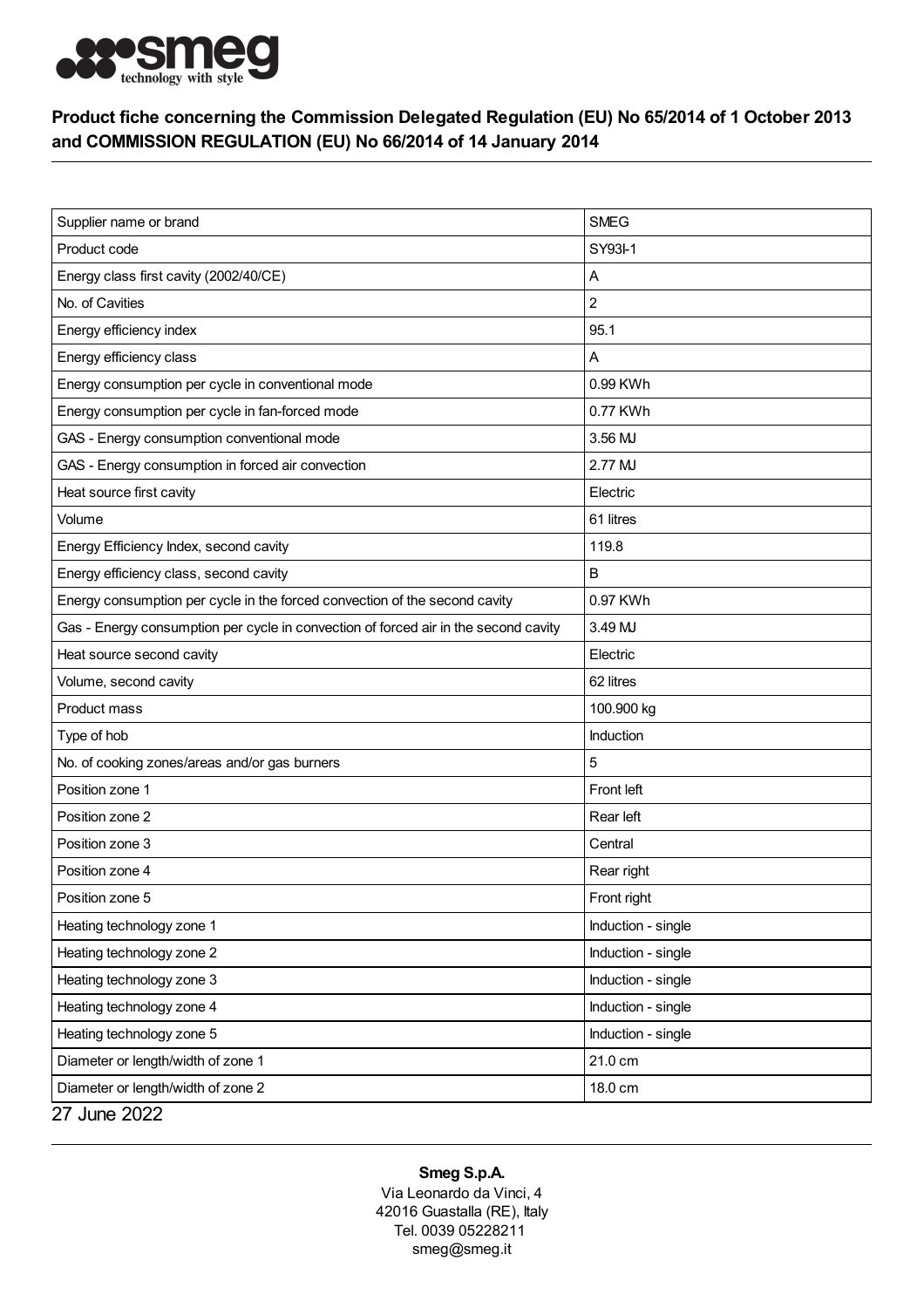

## Product fiche concerning the Commission Delegated Regulation (EU) No 65/2014 of 1 October 2013 and COMMISSION REGULATION (EU) No 66/2014 of 14 January 2014

| Supplier name or brand                                                              | <b>SMEG</b>        |
|-------------------------------------------------------------------------------------|--------------------|
| Product code                                                                        | SY93-1             |
| Energy class first cavity (2002/40/CE)                                              | Α                  |
| No. of Cavities                                                                     | $\overline{c}$     |
| Energy efficiency index                                                             | 95.1               |
| Energy efficiency class                                                             | Α                  |
| Energy consumption per cycle in conventional mode                                   | 0.99 KWh           |
| Energy consumption per cycle in fan-forced mode                                     | 0.77 KWh           |
| GAS - Energy consumption conventional mode                                          | 3.56 MJ            |
| GAS - Energy consumption in forced air convection                                   | 2.77 MJ            |
| Heat source first cavity                                                            | Electric           |
| Volume                                                                              | 61 litres          |
| Energy Efficiency Index, second cavity                                              | 119.8              |
| Energy efficiency class, second cavity                                              | B                  |
| Energy consumption per cycle in the forced convection of the second cavity          | 0.97 KWh           |
| Gas - Energy consumption per cycle in convection of forced air in the second cavity | 3.49 MJ            |
| Heat source second cavity                                                           | Electric           |
| Volume, second cavity                                                               | 62 litres          |
| Product mass                                                                        | 100.900 kg         |
| Type of hob                                                                         | Induction          |
| No. of cooking zones/areas and/or gas burners                                       | 5                  |
| Position zone 1                                                                     | Front left         |
| Position zone 2                                                                     | Rear left          |
| Position zone 3                                                                     | Central            |
| Position zone 4                                                                     | Rear right         |
| Position zone 5                                                                     | Front right        |
| Heating technology zone 1                                                           | Induction - single |
| Heating technology zone 2                                                           | Induction - single |
| Heating technology zone 3                                                           | Induction - single |
| Heating technology zone 4                                                           | Induction - single |
| Heating technology zone 5                                                           | Induction - single |
| Diameter or length/width of zone 1                                                  | 21.0 cm            |
| Diameter or length/width of zone 2                                                  | 18.0 cm            |
| 27 June 2022                                                                        |                    |

## Smeg S.p.A.

Via Leonardo da Vinci, 4 42016 Guastalla (RE), Italy Tel. 0039 05228211 smeg@smeg.it